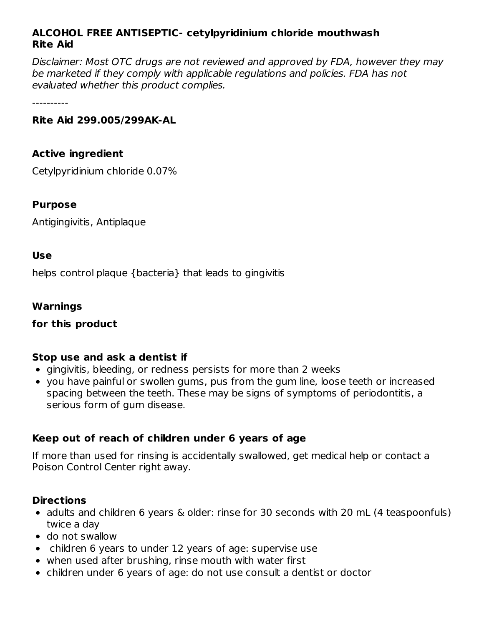# **ALCOHOL FREE ANTISEPTIC- cetylpyridinium chloride mouthwash Rite Aid**

Disclaimer: Most OTC drugs are not reviewed and approved by FDA, however they may be marketed if they comply with applicable regulations and policies. FDA has not evaluated whether this product complies.

----------

#### **Rite Aid 299.005/299AK-AL**

#### **Active ingredient**

Cetylpyridinium chloride 0.07%

#### **Purpose**

Antigingivitis, Antiplaque

#### **Use**

helps control plaque {bacteria} that leads to gingivitis

#### **Warnings**

#### **for this product**

# **Stop use and ask a dentist if**

- gingivitis, bleeding, or redness persists for more than 2 weeks
- you have painful or swollen gums, pus from the gum line, loose teeth or increased spacing between the teeth. These may be signs of symptoms of periodontitis, a serious form of gum disease.

# **Keep out of reach of children under 6 years of age**

If more than used for rinsing is accidentally swallowed, get medical help or contact a Poison Control Center right away.

#### **Directions**

- adults and children 6 years & older: rinse for 30 seconds with 20 mL (4 teaspoonfuls) twice a day
- do not swallow
- children 6 years to under 12 years of age: supervise use
- when used after brushing, rinse mouth with water first
- children under 6 years of age: do not use consult a dentist or doctor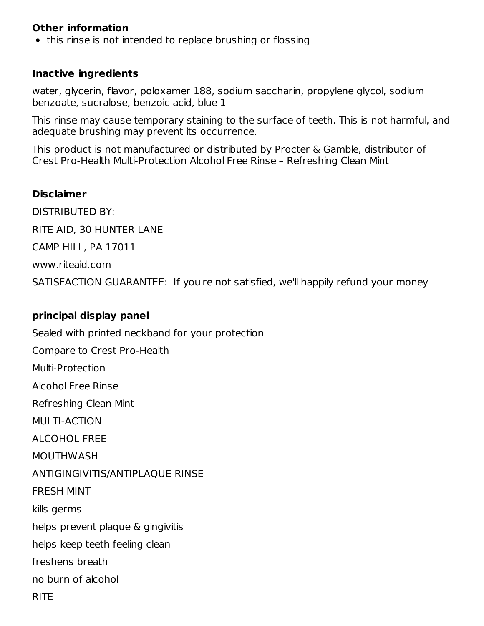#### **Other information**

• this rinse is not intended to replace brushing or flossing

#### **Inactive ingredients**

water, glycerin, flavor, poloxamer 188, sodium saccharin, propylene glycol, sodium benzoate, sucralose, benzoic acid, blue 1

This rinse may cause temporary staining to the surface of teeth. This is not harmful, and adequate brushing may prevent its occurrence.

This product is not manufactured or distributed by Procter & Gamble, distributor of Crest Pro-Health Multi-Protection Alcohol Free Rinse – Refreshing Clean Mint

#### **Disclaimer**

DISTRIBUTED BY: RITE AID, 30 HUNTER LANE CAMP HILL, PA 17011 www.riteaid.com SATISFACTION GUARANTEE: If you're not satisfied, we'll happily refund your money

# **principal display panel**

Sealed with printed neckband for your protection Compare to Crest Pro-Health Multi-Protection Alcohol Free Rinse Refreshing Clean Mint MULTI-ACTION ALCOHOL FREE MOUTHWASH ANTIGINGIVITIS/ANTIPLAQUE RINSE FRESH MINT kills germs helps prevent plaque & gingivitis helps keep teeth feeling clean freshens breath no burn of alcohol **RITE**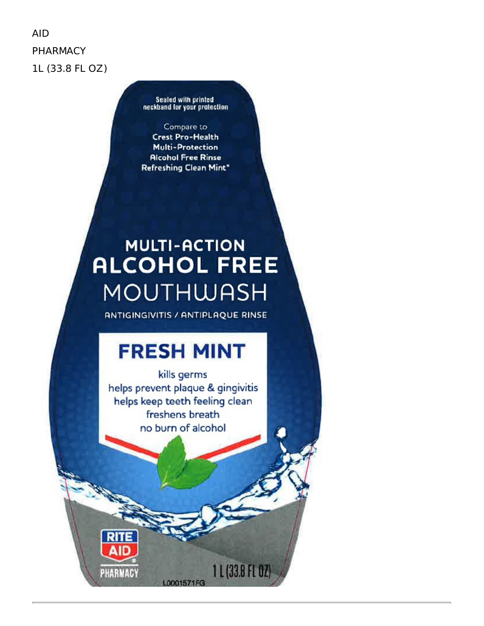**AID PHARMACY** 1L (33.8 FL OZ)

Sealed with printed<br>neckband for your protection

Compare to **Crest Pro-Health Multi-Protection Alcohol Free Rinse** Refreshing Clean Mint\*

# **MULTI-ACTION ALCOHOL FREE MOUTHWASH**

ANTIGINGIVITIS / ANTIPLAQUE RINSE

# **FRESH MINT**

kills germs helps prevent plaque & gingivitis helps keep teeth feeling clean freshens breath no burn of alcohol

L0001571FG

1 L (33.8 FL 02)

**RITE** 

PHARMACY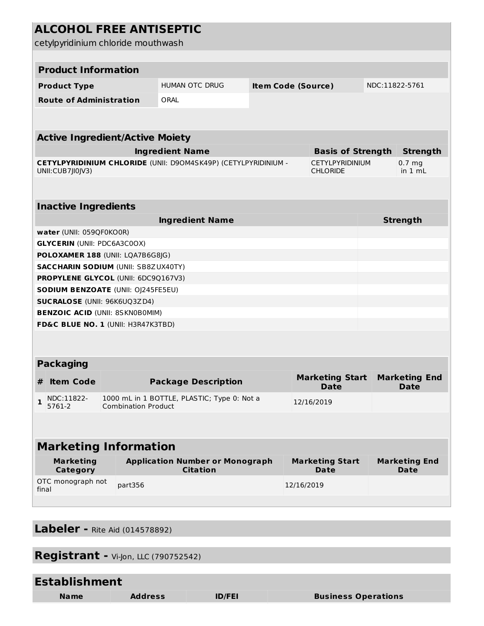| <b>ALCOHOL FREE ANTISEPTIC</b><br>cetylpyridinium chloride mouthwash                                   |                                        |                                             |                                                           |                                             |  |                                       |                                       |                 |                                     |  |
|--------------------------------------------------------------------------------------------------------|----------------------------------------|---------------------------------------------|-----------------------------------------------------------|---------------------------------------------|--|---------------------------------------|---------------------------------------|-----------------|-------------------------------------|--|
|                                                                                                        |                                        |                                             |                                                           |                                             |  |                                       |                                       |                 |                                     |  |
| <b>Product Information</b>                                                                             |                                        |                                             |                                                           |                                             |  |                                       |                                       |                 |                                     |  |
|                                                                                                        | <b>Product Type</b>                    | HUMAN OTC DRUG<br><b>Item Code (Source)</b> |                                                           |                                             |  |                                       | NDC:11822-5761                        |                 |                                     |  |
|                                                                                                        | <b>Route of Administration</b>         |                                             |                                                           | ORAL                                        |  |                                       |                                       |                 |                                     |  |
|                                                                                                        |                                        |                                             |                                                           |                                             |  |                                       |                                       |                 |                                     |  |
| <b>Active Ingredient/Active Moiety</b>                                                                 |                                        |                                             |                                                           |                                             |  |                                       |                                       |                 |                                     |  |
| <b>Ingredient Name</b><br><b>Basis of Strength</b>                                                     |                                        |                                             |                                                           |                                             |  |                                       |                                       |                 | <b>Strength</b>                     |  |
| CETYLPYRIDINIUM CHLORIDE (UNII: D90M4SK49P) (CETYLPYRIDINIUM -<br>UNII: CUB7JI0JV3)<br><b>CHLORIDE</b> |                                        |                                             |                                                           |                                             |  |                                       | <b>CETYLPYRIDINIUM</b>                |                 | 0.7 <sub>mg</sub><br>in 1 mL        |  |
|                                                                                                        |                                        |                                             |                                                           |                                             |  |                                       |                                       |                 |                                     |  |
| <b>Inactive Ingredients</b>                                                                            |                                        |                                             |                                                           |                                             |  |                                       |                                       |                 |                                     |  |
| <b>Ingredient Name</b>                                                                                 |                                        |                                             |                                                           |                                             |  |                                       |                                       | <b>Strength</b> |                                     |  |
|                                                                                                        | water (UNII: 059QF0KO0R)               |                                             |                                                           |                                             |  |                                       |                                       |                 |                                     |  |
| <b>GLYCERIN (UNII: PDC6A3C0OX)</b>                                                                     |                                        |                                             |                                                           |                                             |  |                                       |                                       |                 |                                     |  |
|                                                                                                        | POLOXAMER 188 (UNII: LQA7B6G8JG)       |                                             |                                                           |                                             |  |                                       |                                       |                 |                                     |  |
| <b>SACCHARIN SODIUM (UNII: SB8ZUX40TY)</b>                                                             |                                        |                                             |                                                           |                                             |  |                                       |                                       |                 |                                     |  |
| PROPYLENE GLYCOL (UNII: 6DC9Q167V3)<br><b>SODIUM BENZOATE (UNII: OJ245FE5EU)</b>                       |                                        |                                             |                                                           |                                             |  |                                       |                                       |                 |                                     |  |
|                                                                                                        | <b>SUCRALOSE (UNII: 96K6UQ3ZD4)</b>    |                                             |                                                           |                                             |  |                                       |                                       |                 |                                     |  |
|                                                                                                        | <b>BENZOIC ACID (UNII: 8SKN0B0MIM)</b> |                                             |                                                           |                                             |  |                                       |                                       |                 |                                     |  |
|                                                                                                        | FD&C BLUE NO. 1 (UNII: H3R47K3TBD)     |                                             |                                                           |                                             |  |                                       |                                       |                 |                                     |  |
|                                                                                                        |                                        |                                             |                                                           |                                             |  |                                       |                                       |                 |                                     |  |
|                                                                                                        | <b>Packaging</b>                       |                                             |                                                           |                                             |  |                                       |                                       |                 |                                     |  |
|                                                                                                        | <b>Item Code</b>                       |                                             |                                                           | <b>Package Description</b>                  |  |                                       | <b>Marketing Start</b><br><b>Date</b> |                 | <b>Marketing End</b><br><b>Date</b> |  |
| $\mathbf{1}$                                                                                           | NDC:11822-<br>5761-2                   |                                             | <b>Combination Product</b>                                | 1000 mL in 1 BOTTLE, PLASTIC; Type 0: Not a |  |                                       | 12/16/2019                            |                 |                                     |  |
|                                                                                                        |                                        |                                             |                                                           |                                             |  |                                       |                                       |                 |                                     |  |
| <b>Marketing Information</b>                                                                           |                                        |                                             |                                                           |                                             |  |                                       |                                       |                 |                                     |  |
| <b>Marketing</b><br><b>Category</b>                                                                    |                                        |                                             | <b>Application Number or Monograph</b><br><b>Citation</b> |                                             |  | <b>Marketing Start</b><br><b>Date</b> |                                       |                 | <b>Marketing End</b><br><b>Date</b> |  |
| OTC monograph not<br>final                                                                             |                                        |                                             | part356                                                   |                                             |  |                                       | 12/16/2019                            |                 |                                     |  |
|                                                                                                        |                                        |                                             |                                                           |                                             |  |                                       |                                       |                 |                                     |  |

**Labeler -** Rite Aid (014578892)

| <b>Registrant - Vi-Jon, LLC (790752542)</b> |                |               |                            |  |  |  |  |  |
|---------------------------------------------|----------------|---------------|----------------------------|--|--|--|--|--|
| <b>Establishment</b>                        |                |               |                            |  |  |  |  |  |
| <b>Name</b>                                 | <b>Address</b> | <b>ID/FEI</b> | <b>Business Operations</b> |  |  |  |  |  |
|                                             |                |               |                            |  |  |  |  |  |